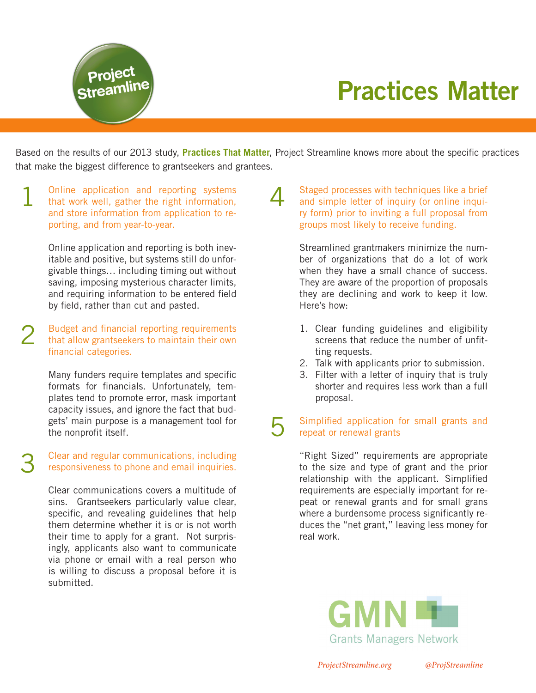

Based on the results of our 2013 study, **Practices That Matter**, Project Streamline knows more about the specific practices that make the biggest difference to grantseekers and grantees.

Online application and reporting systems that work well, gather the right information, and store information from application to reporting, and from year-to-year. 1

**Project<br>Streamline** 

Online application and reporting is both inevitable and positive, but systems still do unforgivable things… including timing out without saving, imposing mysterious character limits, and requiring information to be entered field by field, rather than cut and pasted.

Budget and financial reporting requirements that allow grantseekers to maintain their own financial categories. 2

> Many funders require templates and specific formats for financials. Unfortunately, templates tend to promote error, mask important capacity issues, and ignore the fact that budgets' main purpose is a management tool for the nonprofit itself.

Clear and regular communications, including responsiveness to phone and email inquiries. 3

> Clear communications covers a multitude of sins. Grantseekers particularly value clear, specific, and revealing guidelines that help them determine whether it is or is not worth their time to apply for a grant. Not surprisingly, applicants also want to communicate via phone or email with a real person who is willing to discuss a proposal before it is submitted.

Staged processes with techniques like a brief and simple letter of inquiry (or online inquiry form) prior to inviting a full proposal from groups most likely to receive funding. 4

> Streamlined grantmakers minimize the number of organizations that do a lot of work when they have a small chance of success. They are aware of the proportion of proposals they are declining and work to keep it low. Here's how:

- 1. Clear funding guidelines and eligibility screens that reduce the number of unfitting requests.
- 2. Talk with applicants prior to submission.
- 3. Filter with a letter of inquiry that is truly shorter and requires less work than a full proposal.

#### Simplified application for small grants and repeat or renewal grants 5

"Right Sized" requirements are appropriate to the size and type of grant and the prior relationship with the applicant. Simplified requirements are especially important for repeat or renewal grants and for small grans where a burdensome process significantly reduces the "net grant," leaving less money for real work.



*ProjectStreamline.org @ProjStreamline*